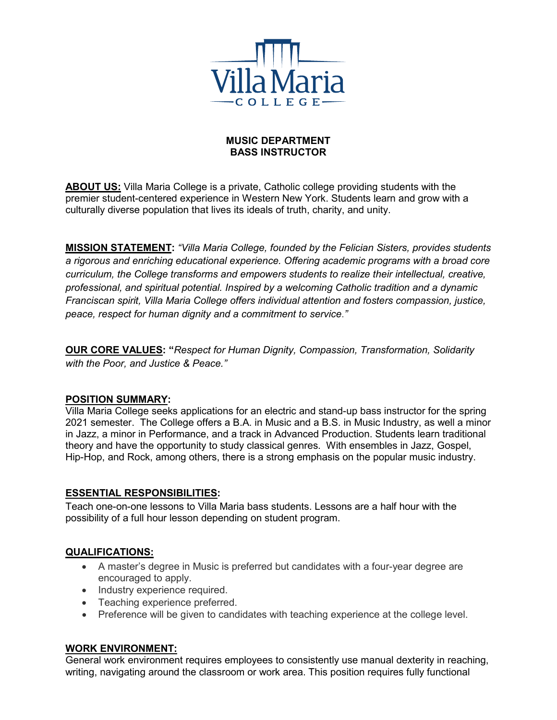

## **MUSIC DEPARTMENT BASS INSTRUCTOR**

**ABOUT US:** Villa Maria College is a private, Catholic college providing students with the premier student-centered experience in Western New York. Students learn and grow with a culturally diverse population that lives its ideals of truth, charity, and unity.

**MISSION STATEMENT:** *"Villa Maria College, founded by the Felician Sisters, provides students a rigorous and enriching educational experience. Offering academic programs with a broad core curriculum, the College transforms and empowers students to realize their intellectual, creative, professional, and spiritual potential. Inspired by a welcoming Catholic tradition and a dynamic Franciscan spirit, Villa Maria College offers individual attention and fosters compassion, justice, peace, respect for human dignity and a commitment to service*.*"*

**OUR CORE VALUES: "***Respect for Human Dignity, Compassion, Transformation, Solidarity with the Poor, and Justice & Peace."*

## **POSITION SUMMARY:**

Villa Maria College seeks applications for an electric and stand-up bass instructor for the spring 2021 semester. The College offers a B.A. in Music and a B.S. in Music Industry, as well a minor in Jazz, a minor in Performance, and a track in Advanced Production. Students learn traditional theory and have the opportunity to study classical genres. With ensembles in Jazz, Gospel, Hip-Hop, and Rock, among others, there is a strong emphasis on the popular music industry.

## **ESSENTIAL RESPONSIBILITIES:**

Teach one-on-one lessons to Villa Maria bass students. Lessons are a half hour with the possibility of a full hour lesson depending on student program.

## **QUALIFICATIONS:**

- A master's degree in Music is preferred but candidates with a four-year degree are encouraged to apply.
- Industry experience required.
- Teaching experience preferred.
- Preference will be given to candidates with teaching experience at the college level.

# **WORK ENVIRONMENT:**

General work environment requires employees to consistently use manual dexterity in reaching, writing, navigating around the classroom or work area. This position requires fully functional